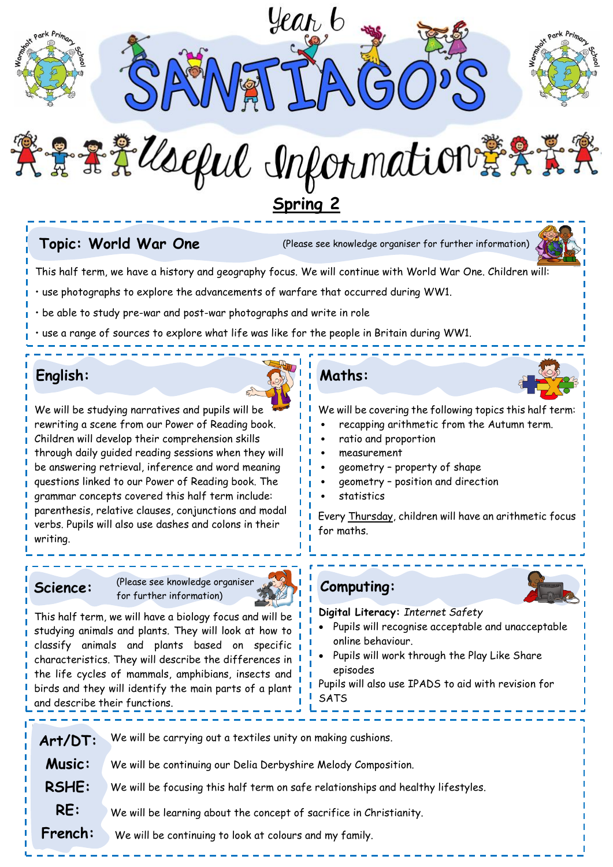

实景要第Useful Information #实景学 **Spring 2**

**Topic: World War One** (Please see knowledge organiser for further information)



This half term, we have a history and geography focus. We will continue with World War One. Children will:

• use photographs to explore the advancements of warfare that occurred during WW1.

• be able to study pre-war and post-war photographs and write in role

• use a range of sources to explore what life was like for the people in Britain during WW1.

# **English:**



We will be studying narratives and pupils will be rewriting a scene from our Power of Reading book. Children will develop their comprehension skills through daily guided reading sessions when they will be answering retrieval, inference and word meaning questions linked to our Power of Reading book. The grammar concepts covered this half term include: parenthesis, relative clauses, conjunctions and modal verbs. Pupils will also use dashes and colons in their writing.

**Science:** (Please see knowledge organiser for further information)



This half term, we will have a biology focus and will be studying animals and plants. They will look at how to classify animals and plants based on specific characteristics. They will describe the differences in the life cycles of mammals, amphibians, insects and birds and they will identify the main parts of a plant and describe their functions.

# **Maths:**

We will be covering the following topics this half term:

- recapping arithmetic from the Autumn term.
- ratio and proportion
- measurement
- geometry property of shape
- geometry position and direction
- **statistics**

Every Thursday, children will have an arithmetic focus for maths.

**Computing:**

#### **Digital Literacy:** *Internet Safety*

- Pupils will recognise acceptable and unacceptable online behaviour.
- Pupils will work through the Play Like Share episodes

Pupils will also use IPADS to aid with revision for **SATS** 

| Art/DT:       | We will be carrying out a textiles unity on making cushions.                     |
|---------------|----------------------------------------------------------------------------------|
| <b>Music:</b> | We will be continuing our Delia Derbyshire Melody Composition.                   |
| <b>RSHE:</b>  | We will be focusing this half term on safe relationships and healthy lifestyles. |
| RE:           | We will be learning about the concept of sacrifice in Christianity.              |
| French:       | We will be continuing to look at colours and my family.                          |